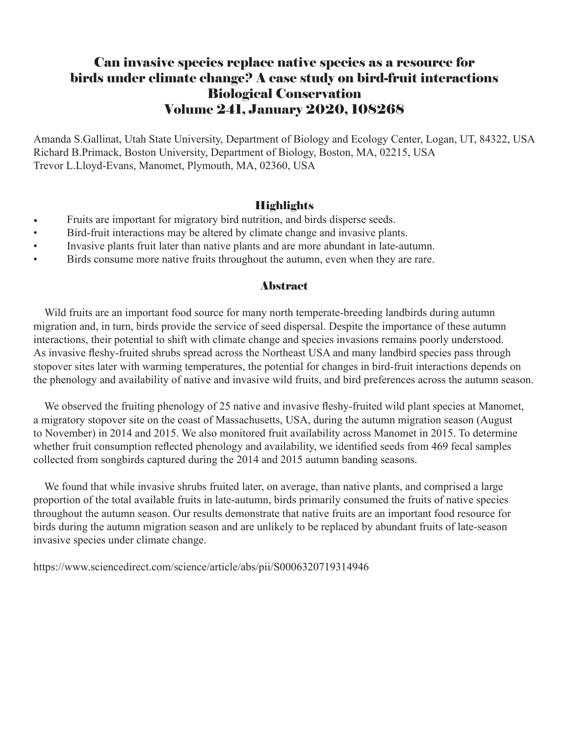### Can invasive species replace native species as a resource for birds under climate change? A case study on bird-fruit interactions Biological Conservation Volume 241, January 2020, 108268

Amanda S.Gallinat, Utah State University, Department of Biology and Ecology Center, Logan, UT, 84322, USA Richard B.Primack, Boston University, Department of Biology, Boston, MA, 02215, USA Trevor L.Lloyd-Evans, Manomet, Plymouth, MA, 02360, USA

### **Highlights**

- Fruits are important for migratory bird nutrition, and birds disperse seeds.
- Bird-fruit interactions may be altered by climate change and invasive plants.
- Invasive plants fruit later than native plants and are more abundant in late-autumn.
- Birds consume more native fruits throughout the autumn, even when they are rare.

#### Abstract

 Wild fruits are an important food source for many north temperate-breeding landbirds during autumn migration and, in turn, birds provide the service of seed dispersal. Despite the importance of these autumn interactions, their potential to shift with climate change and species invasions remains poorly understood. As invasive fleshy-fruited shrubs spread across the Northeast USA and many landbird species pass through stopover sites later with warming temperatures, the potential for changes in bird-fruit interactions depends on the phenology and availability of native and invasive wild fruits, and bird preferences across the autumn season.

We observed the fruiting phenology of 25 native and invasive fleshy-fruited wild plant species at Manomet, a migratory stopover site on the coast of Massachusetts, USA, during the autumn migration season (August to November) in 2014 and 2015. We also monitored fruit availability across Manomet in 2015. To determine whether fruit consumption reflected phenology and availability, we identified seeds from 469 fecal samples collected from songbirds captured during the 2014 and 2015 autumn banding seasons.

 We found that while invasive shrubs fruited later, on average, than native plants, and comprised a large proportion of the total available fruits in late-autumn, birds primarily consumed the fruits of native species throughout the autumn season. Our results demonstrate that native fruits are an important food resource for birds during the autumn migration season and are unlikely to be replaced by abundant fruits of late-season invasive species under climate change.

https://www.sciencedirect.com/science/article/abs/pii/S0006320719314946